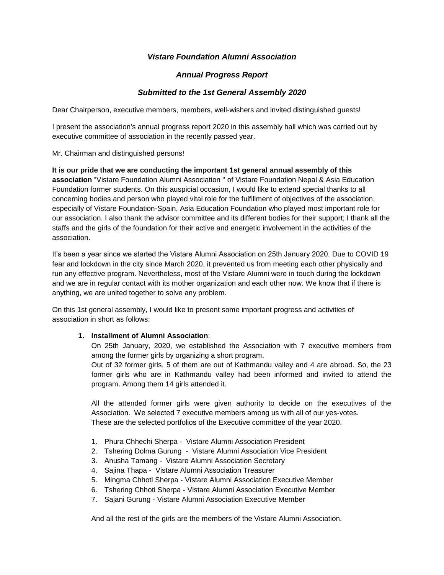# *Vistare Foundation Alumni Association*

## *Annual Progress Report*

## *Submitted to the 1st General Assembly 2020*

Dear Chairperson, executive members, members, well-wishers and invited distinguished guests!

I present the association's annual progress report 2020 in this assembly hall which was carried out by executive committee of association in the recently passed year.

Mr. Chairman and distinguished persons!

**It is our pride that we are conducting the important 1st general annual assembly of this association** "Vistare Foundation Alumni Association '' of Vistare Foundation Nepal & Asia Education Foundation former students. On this auspicial occasion, I would like to extend special thanks to all concerning bodies and person who played vital role for the fulfillment of objectives of the association, especially of Vistare Foundation-Spain, Asia Education Foundation who played most important role for our association. I also thank the advisor committee and its different bodies for their support; I thank all the staffs and the girls of the foundation for their active and energetic involvement in the activities of the association.

It's been a year since we started the Vistare Alumni Association on 25th January 2020. Due to COVID 19 fear and lockdown in the city since March 2020, it prevented us from meeting each other physically and run any effective program. Nevertheless, most of the Vistare Alumni were in touch during the lockdown and we are in regular contact with its mother organization and each other now. We know that if there is anything, we are united together to solve any problem.

On this 1st general assembly, I would like to present some important progress and activities of association in short as follows:

#### **1. Installment of Alumni Association**:

On 25th January, 2020, we established the Association with 7 executive members from among the former girls by organizing a short program.

Out of 32 former girls, 5 of them are out of Kathmandu valley and 4 are abroad. So, the 23 former girls who are in Kathmandu valley had been informed and invited to attend the program. Among them 14 girls attended it.

All the attended former girls were given authority to decide on the executives of the Association. We selected 7 executive members among us with all of our yes-votes. These are the selected portfolios of the Executive committee of the year 2020.

- 1. Phura Chhechi Sherpa Vistare Alumni Association President
- 2. Tshering Dolma Gurung Vistare Alumni Association Vice President
- 3. Anusha Tamang Vistare Alumni Association Secretary
- 4. Sajina Thapa Vistare Alumni Association Treasurer
- 5. Mingma Chhoti Sherpa Vistare Alumni Association Executive Member
- 6. Tshering Chhoti Sherpa Vistare Alumni Association Executive Member
- 7. Sajani Gurung Vistare Alumni Association Executive Member

And all the rest of the girls are the members of the Vistare Alumni Association.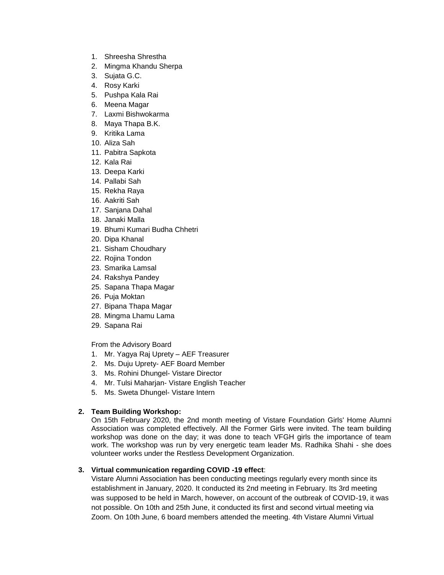- 1. Shreesha Shrestha
- 2. Mingma Khandu Sherpa
- 3. Sujata G.C.
- 4. Rosy Karki
- 5. Pushpa Kala Rai
- 6. Meena Magar
- 7. Laxmi Bishwokarma
- 8. Maya Thapa B.K.
- 9. Kritika Lama
- 10. Aliza Sah
- 11. Pabitra Sapkota
- 12. Kala Rai
- 13. Deepa Karki
- 14. Pallabi Sah
- 15. Rekha Raya
- 16. Aakriti Sah
- 17. Sanjana Dahal
- 18. Janaki Malla
- 19. Bhumi Kumari Budha Chhetri
- 20. Dipa Khanal
- 21. Sisham Choudhary
- 22. Rojina Tondon
- 23. Smarika Lamsal
- 24. Rakshya Pandey
- 25. Sapana Thapa Magar
- 26. Puja Moktan
- 27. Bipana Thapa Magar
- 28. Mingma Lhamu Lama
- 29. Sapana Rai

From the Advisory Board

- 1. Mr. Yagya Raj Uprety AEF Treasurer
- 2. Ms. Duju Uprety- AEF Board Member
- 3. Ms. Rohini Dhungel- Vistare Director
- 4. Mr. Tulsi Maharjan- Vistare English Teacher
- 5. Ms. Sweta Dhungel- Vistare Intern

### **2. Team Building Workshop:**

On 15th February 2020, the 2nd month meeting of Vistare Foundation Girls' Home Alumni Association was completed effectively. All the Former Girls were invited. The team building workshop was done on the day; it was done to teach VFGH girls the importance of team work. The workshop was run by very energetic team leader Ms. Radhika Shahi - she does volunteer works under the Restless Development Organization.

### **3. Virtual communication regarding COVID -19 effect**:

Vistare Alumni Association has been conducting meetings regularly every month since its establishment in January, 2020. It conducted its 2nd meeting in February. Its 3rd meeting was supposed to be held in March, however, on account of the outbreak of COVID-19, it was not possible. On 10th and 25th June, it conducted its first and second virtual meeting via Zoom. On 10th June, 6 board members attended the meeting. 4th Vistare Alumni Virtual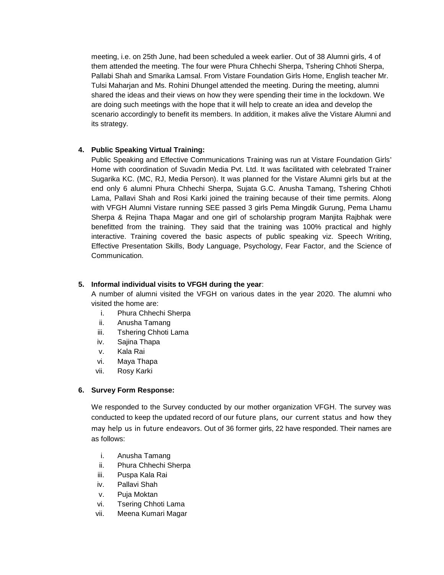meeting, i.e. on 25th June, had been scheduled a week earlier. Out of 38 Alumni girls, 4 of them attended the meeting. The four were Phura Chhechi Sherpa, Tshering Chhoti Sherpa, Pallabi Shah and Smarika Lamsal. From Vistare Foundation Girls Home, English teacher Mr. Tulsi Maharjan and Ms. Rohini Dhungel attended the meeting. During the meeting, alumni shared the ideas and their views on how they were spending their time in the lockdown. We are doing such meetings with the hope that it will help to create an idea and develop the scenario accordingly to benefit its members. In addition, it makes alive the Vistare Alumni and its strategy.

## **4. Public Speaking Virtual Training:**

Public Speaking and Effective Communications Training was run at Vistare Foundation Girls' Home with coordination of Suvadin Media Pvt. Ltd. It was facilitated with celebrated Trainer Sugarika KC. (MC, RJ, Media Person). It was planned for the Vistare Alumni girls but at the end only 6 alumni Phura Chhechi Sherpa, Sujata G.C. Anusha Tamang, Tshering Chhoti Lama, Pallavi Shah and Rosi Karki joined the training because of their time permits. Along with VFGH Alumni Vistare running SEE passed 3 girls Pema Mingdik Gurung, Pema Lhamu Sherpa & Rejina Thapa Magar and one girl of scholarship program Manjita Rajbhak were benefitted from the training. They said that the training was 100% practical and highly interactive. Training covered the basic aspects of public speaking viz. Speech Writing, Effective Presentation Skills, Body Language, Psychology, Fear Factor, and the Science of Communication.

### **5. Informal individual visits to VFGH during the year**:

A number of alumni visited the VFGH on various dates in the year 2020. The alumni who visited the home are:

- i. Phura Chhechi Sherpa
- ii. Anusha Tamang
- iii. Tshering Chhoti Lama
- iv. Sajina Thapa
- v. Kala Rai
- vi. Maya Thapa
- vii. Rosy Karki

### **6. Survey Form Response:**

We responded to the Survey conducted by our mother organization VFGH. The survey was conducted to keep the updated record of our future plans, our current status and how they may help us in future endeavors. Out of 36 former girls, 22 have responded. Their names are as follows:

- i. Anusha Tamang
- ii. Phura Chhechi Sherpa
- iii. Puspa Kala Rai
- iv. Pallavi Shah
- v. Puja Moktan
- vi. Tsering Chhoti Lama
- vii. Meena Kumari Magar